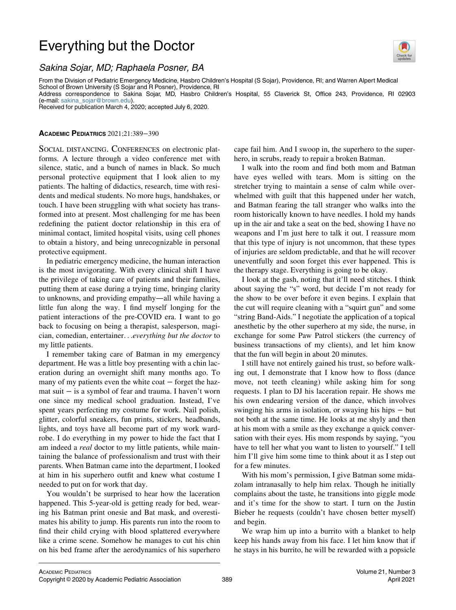## Everything but the Doctor



## Sakina Sojar, MD; Raphaela Posner, BA

From the Division of Pediatric Emergency Medicine, Hasbro Children's Hospital (S Sojar), Providence, RI; and Warren Alpert Medical School of Brown University (S Sojar and R Posner), Providence, RI Address correspondence to Sakina Sojar, MD, Hasbro Children's Hospital, 55 Claverick St, Office 243, Providence, RI 02903 (e-mail: [sakina\\_sojar@brown.edu\)](mailto:sakina_sojar@brown.edu).

Received for publication March 4, 2020; accepted July 6, 2020.

## ACADEMIC PEDIATRICS 2021;21:389−390

SOCIAL DISTANCING. CONFERENCES on electronic platforms. A lecture through a video conference met with silence, static, and a bunch of names in black. So much personal protective equipment that I look alien to my patients. The halting of didactics, research, time with residents and medical students. No more hugs, handshakes, or touch. I have been struggling with what society has transformed into at present. Most challenging for me has been redefining the patient doctor relationship in this era of minimal contact, limited hospital visits, using cell phones to obtain a history, and being unrecognizable in personal protective equipment.

In pediatric emergency medicine, the human interaction is the most invigorating. With every clinical shift I have the privilege of taking care of patients and their families, putting them at ease during a trying time, bringing clarity to unknowns, and providing empathy—all while having a little fun along the way. I find myself longing for the patient interactions of the pre-COVID era. I want to go back to focusing on being a therapist, salesperson, magician, comedian, entertainer...everything but the doctor to my little patients.

I remember taking care of Batman in my emergency department. He was a little boy presenting with a chin laceration during an overnight shift many months ago. To many of my patients even the white coat − forget the hazmat suit − is a symbol of fear and trauma. I haven't worn one since my medical school graduation. Instead, I've spent years perfecting my costume for work. Nail polish, glitter, colorful sneakers, fun prints, stickers, headbands, lights, and toys have all become part of my work wardrobe. I do everything in my power to hide the fact that I am indeed a *real* doctor to my little patients, while maintaining the balance of professionalism and trust with their parents. When Batman came into the department, I looked at him in his superhero outfit and knew what costume I needed to put on for work that day.

You wouldn't be surprised to hear how the laceration happened. This 5-year-old is getting ready for bed, wearing his Batman print onesie and Bat mask, and overestimates his ability to jump. His parents run into the room to find their child crying with blood splattered everywhere like a crime scene. Somehow he manages to cut his chin on his bed frame after the aerodynamics of his superhero cape fail him. And I swoop in, the superhero to the superhero, in scrubs, ready to repair a broken Batman.

I walk into the room and find both mom and Batman have eyes welled with tears. Mom is sitting on the stretcher trying to maintain a sense of calm while overwhelmed with guilt that this happened under her watch, and Batman fearing the tall stranger who walks into the room historically known to have needles. I hold my hands up in the air and take a seat on the bed, showing I have no weapons and I'm just here to talk it out. I reassure mom that this type of injury is not uncommon, that these types of injuries are seldom predictable, and that he will recover uneventfully and soon forget this ever happened. This is the therapy stage. Everything is going to be okay.

I look at the gash, noting that it'll need stitches. I think about saying the "s" word, but decide I'm not ready for the show to be over before it even begins. I explain that the cut will require cleaning with a "squirt gun" and some "string Band-Aids." I negotiate the application of a topical anesthetic by the other superhero at my side, the nurse, in exchange for some Paw Patrol stickers (the currency of business transactions of my clients), and let him know that the fun will begin in about 20 minutes.

I still have not entirely gained his trust, so before walking out, I demonstrate that I know how to floss (dance move, not teeth cleaning) while asking him for song requests. I plan to DJ his laceration repair. He shows me his own endearing version of the dance, which involves swinging his arms in isolation, or swaying his hips − but not both at the same time. He looks at me shyly and then at his mom with a smile as they exchange a quick conversation with their eyes. His mom responds by saying, "you have to tell her what you want to listen to yourself." I tell him I'll give him some time to think about it as I step out for a few minutes.

With his mom's permission, I give Batman some midazolam intranasally to help him relax. Though he initially complains about the taste, he transitions into giggle mode and it's time for the show to start. I turn on the Justin Bieber he requests (couldn't have chosen better myself) and begin.

We wrap him up into a burrito with a blanket to help keep his hands away from his face. I let him know that if he stays in his burrito, he will be rewarded with a popsicle